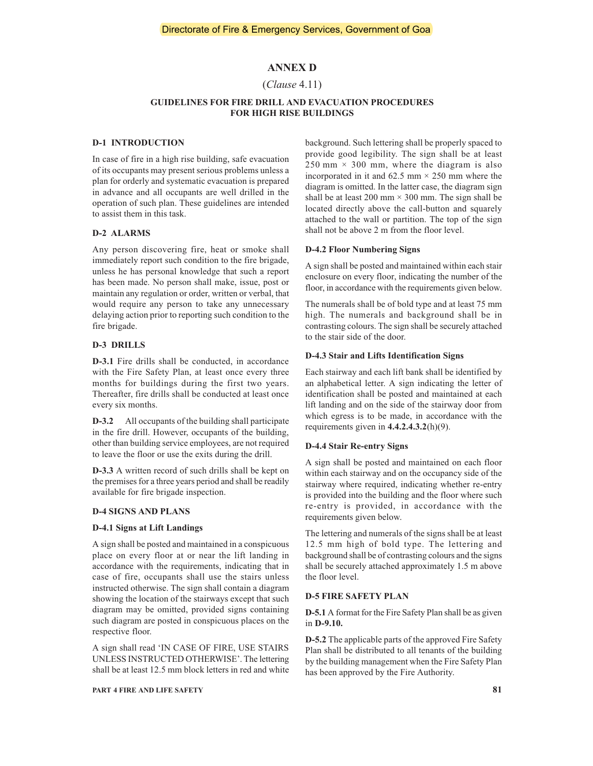# ANNEX D

## (Clause 4.11)

### GUIDELINES FOR FIRE DRILL AND EVACUATION PROCEDURES FOR HIGH RISE BUILDINGS

## D-1 INTRODUCTION

In case of fire in a high rise building, safe evacuation of its occupants may present serious problems unless a plan for orderly and systematic evacuation is prepared in advance and all occupants are well drilled in the operation of such plan. These guidelines are intended to assist them in this task.

# D-2 ALARMS

Any person discovering fire, heat or smoke shall immediately report such condition to the fire brigade, unless he has personal knowledge that such a report has been made. No person shall make, issue, post or maintain any regulation or order, written or verbal, that would require any person to take any unnecessary delaying action prior to reporting such condition to the fire brigade.

# D-3 DRILLS

D-3.1 Fire drills shall be conducted, in accordance with the Fire Safety Plan, at least once every three months for buildings during the first two years. Thereafter, fire drills shall be conducted at least once every six months.

D-3.2 All occupants of the building shall participate in the fire drill. However, occupants of the building, other than building service employees, are not required to leave the floor or use the exits during the drill.

D-3.3 A written record of such drills shall be kept on the premises for a three years period and shall be readily available for fire brigade inspection.

# D-4 SIGNS AND PLANS

#### D-4.1 Signs at Lift Landings

A sign shall be posted and maintained in a conspicuous place on every floor at or near the lift landing in accordance with the requirements, indicating that in case of fire, occupants shall use the stairs unless instructed otherwise. The sign shall contain a diagram showing the location of the stairways except that such diagram may be omitted, provided signs containing such diagram are posted in conspicuous places on the respective floor.

A sign shall read 'IN CASE OF FIRE, USE STAIRS UNLESS INSTRUCTED OTHERWISE'. The lettering shall be at least 12.5 mm block letters in red and white

PART 4 FIRE AND LIFE SAFETY 81

background. Such lettering shall be properly spaced to provide good legibility. The sign shall be at least  $250$  mm  $\times$  300 mm, where the diagram is also incorporated in it and 62.5 mm  $\times$  250 mm where the diagram is omitted. In the latter case, the diagram sign shall be at least 200 mm  $\times$  300 mm. The sign shall be located directly above the call-button and squarely attached to the wall or partition. The top of the sign shall not be above 2 m from the floor level.

#### D-4.2 Floor Numbering Signs

A sign shall be posted and maintained within each stair enclosure on every floor, indicating the number of the floor, in accordance with the requirements given below.

The numerals shall be of bold type and at least 75 mm high. The numerals and background shall be in contrasting colours. The sign shall be securely attached to the stair side of the door.

### D-4.3 Stair and Lifts Identification Signs

Each stairway and each lift bank shall be identified by an alphabetical letter. A sign indicating the letter of identification shall be posted and maintained at each lift landing and on the side of the stairway door from which egress is to be made, in accordance with the requirements given in  $4.4.2.4.3.2(h)(9)$ .

### D-4.4 Stair Re-entry Signs

A sign shall be posted and maintained on each floor within each stairway and on the occupancy side of the stairway where required, indicating whether re-entry is provided into the building and the floor where such re-entry is provided, in accordance with the requirements given below.

The lettering and numerals of the signs shall be at least 12.5 mm high of bold type. The lettering and background shall be of contrasting colours and the signs shall be securely attached approximately 1.5 m above the floor level.

# D-5 FIRE SAFETY PLAN

D-5.1 A format for the Fire Safety Plan shall be as given in D-9.10.

D-5.2 The applicable parts of the approved Fire Safety Plan shall be distributed to all tenants of the building by the building management when the Fire Safety Plan has been approved by the Fire Authority.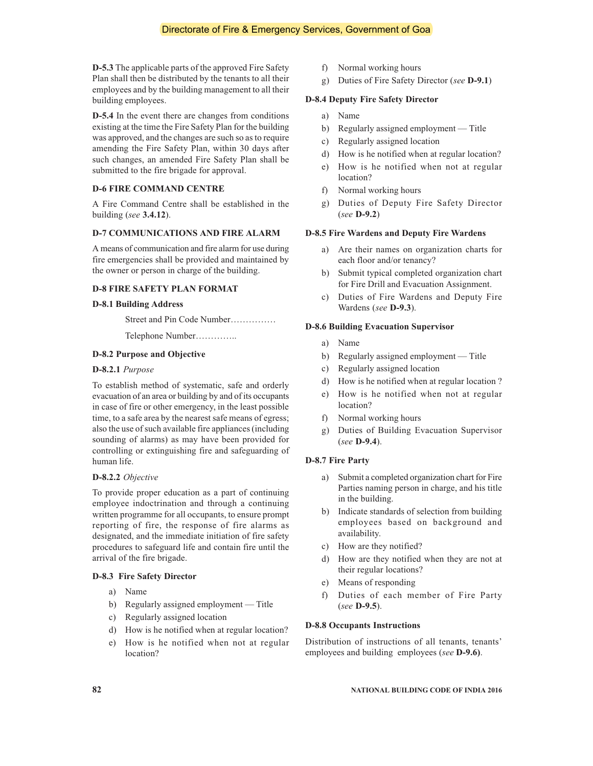D-5.3 The applicable parts of the approved Fire Safety Plan shall then be distributed by the tenants to all their employees and by the building management to all their building employees.

D-5.4 In the event there are changes from conditions existing at the time the Fire Safety Plan for the building was approved, and the changes are such so asto require amending the Fire Safety Plan, within 30 days after such changes, an amended Fire Safety Plan shall be submitted to the fire brigade for approval.

## D-6 FIRE COMMAND CENTRE

A Fire Command Centre shall be established in the building (see 3.4.12).

## D-7 COMMUNICATIONS AND FIRE ALARM

A means of communication and fire alarm for use during fire emergencies shall be provided and maintained by the owner or person in charge of the building.

## D-8 FIRE SAFETY PLAN FORMAT

## D-8.1 Building Address

Street and Pin Code Number

Telephone Number..

## D-8.2 Purpose and Objective

## D-8.2.1 Purpose

To establish method of systematic, safe and orderly evacuation of an area or building by and of its occupants in case of fire or other emergency, in the least possible time, to a safe area by the nearest safe means of egress; also the use of such available fire appliances (including sounding of alarms) as may have been provided for controlling or extinguishing fire and safeguarding of human life.

## D-8.2.2 Objective

To provide proper education as a part of continuing employee indoctrination and through a continuing written programme for all occupants, to ensure prompt reporting of fire, the response of fire alarms as designated, and the immediate initiation of fire safety procedures to safeguard life and contain fire until the arrival of the fire brigade.

## D-8.3 Fire Safety Director

- a) Name
- b) Regularly assigned employment Title
- c) Regularly assigned location
- d) How is he notified when at regular location?
- e) How is he notified when not at regular location?
- f) Normal working hours
- g) Duties of Fire Safety Director (see D-9.1)

## D-8.4 Deputy Fire Safety Director

- a) Name
- b) Regularly assigned employment Title
- c) Regularly assigned location
- d) How is he notified when at regular location?
- e) How is he notified when not at regular location?
- f) Normal working hours
- g) Duties of Deputy Fire Safety Director (see D-9.2)

## D-8.5 Fire Wardens and Deputy Fire Wardens

- a) Are their names on organization charts for each floor and/or tenancy?
- b) Submit typical completed organization chart for Fire Drill and Evacuation Assignment.
- c) Duties of Fire Wardens and Deputy Fire Wardens (see D-9.3).

## D-8.6 Building Evacuation Supervisor

- a) Name
- b) Regularly assigned employment Title
- c) Regularly assigned location
- d) How is he notified when at regular location ?
- e) How is he notified when not at regular location?
- f) Normal working hours
- g) Duties of Building Evacuation Supervisor (see D-9.4).

## D-8.7 Fire Party

- a) Submit a completed organization chart for Fire Parties naming person in charge, and his title in the building.
- b) Indicate standards of selection from building employees based on background and availability.
- c) How are they notified?
- d) How are they notified when they are not at their regular locations?
- e) Means of responding
- f) Duties of each member of Fire Party (see D-9.5).

## D-8.8 Occupants Instructions

Distribution of instructions of all tenants, tenants employees and building employees (see D-9.6).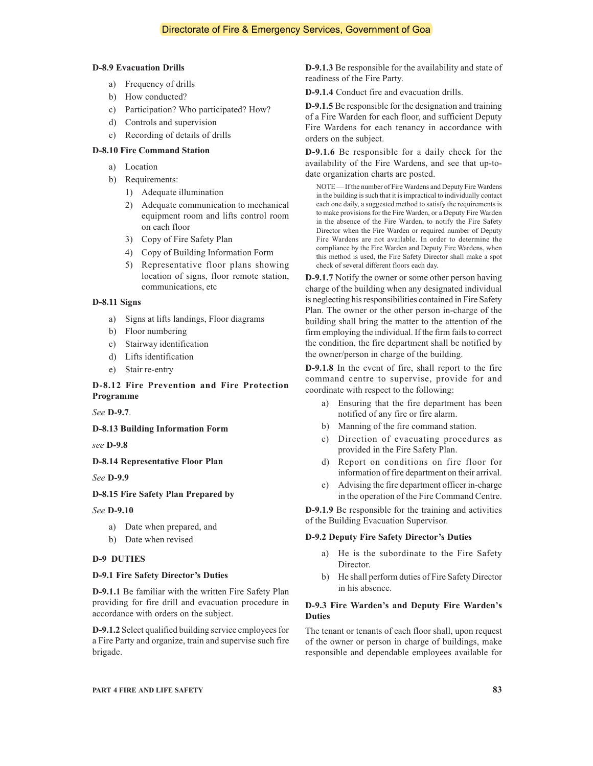### D-8.9 Evacuation Drills

- a) Frequency of drills
- b) How conducted?
- c) Participation? Who participated? How?
- d) Controls and supervision
- e) Recording of details of drills

## D-8.10 Fire Command Station

- a) Location
- b) Requirements:
	- 1) Adequate illumination
	- 2) Adequate communication to mechanical equipment room and lifts control room on each floor
	- 3) Copy of Fire Safety Plan
	- 4) Copy of Building Information Form
	- 5) Representative floor plans showing location of signs, floor remote station, communications, etc

## D-8.11 Signs

- a) Signs at lifts landings, Floor diagrams
- b) Floor numbering
- c) Stairway identification
- d) Lifts identification
- e) Stair re-entry

## D-8.12 Fire Prevention and Fire Protection Programme

See D-9.7.

D-8.13 Building Information Form

see D-9.8

## D-8.14 Representative Floor Plan

See D-9.9

#### D-8.15 Fire Safety Plan Prepared by

#### See D-9.10

- a) Date when prepared, and
- b) Date when revised

## D-9 DUTIES

#### D-9.1 Fire Safety Director's Duties

D-9.1.1 Be familiar with the written Fire Safety Plan providing for fire drill and evacuation procedure in accordance with orders on the subject.

D-9.1.2 Select qualified building service employees for a Fire Party and organize, train and supervise such fire brigade.

D-9.1.3 Be responsible for the availability and state of readiness of the Fire Party.

D-9.1.4 Conduct fire and evacuation drills.

D-9.1.5 Be responsible for the designation and training of a Fire Warden for each floor, and sufficient Deputy Fire Wardens for each tenancy in accordance with orders on the subject.

D-9.1.6 Be responsible for a daily check for the availability of the Fire Wardens, and see that up-todate organization charts are posted.

NOTE — If the number of Fire Wardens and Deputy Fire Wardens in the building is such that it is impractical to individually contact each one daily, a suggested method to satisfy the requirements is to make provisions for the Fire Warden, or a Deputy Fire Warden in the absence of the Fire Warden, to notify the Fire Safety Director when the Fire Warden or required number of Deputy Fire Wardens are not available. In order to determine the compliance by the Fire Warden and Deputy Fire Wardens, when this method is used, the Fire Safety Director shall make a spot check of several different floors each day.

D-9.1.7 Notify the owner or some other person having charge of the building when any designated individual is neglecting his responsibilities contained in Fire Safety Plan. The owner or the other person in-charge of the building shall bring the matter to the attention of the firm employing the individual. If the firm fails to correct the condition, the fire department shall be notified by the owner/person in charge of the building.

D-9.1.8 In the event of fire, shall report to the fire command centre to supervise, provide for and coordinate with respect to the following:

- a) Ensuring that the fire department has been notified of any fire or fire alarm.
- b) Manning of the fire command station.
- c) Direction of evacuating procedures as provided in the Fire Safety Plan.
- d) Report on conditions on fire floor for information of fire department on their arrival.
- e) Advising the fire department officer in-charge in the operation of the Fire Command Centre.

D-9.1.9 Be responsible for the training and activities of the Building Evacuation Supervisor.

#### D-9.2 Deputy Fire Safety Director's Duties

- a) He is the subordinate to the Fire Safety Director.
- b) He shall perform duties of Fire Safety Director in his absence.

## D-9.3 Fire Warden's and Deputy Fire Warden's Duties

The tenant or tenants of each floor shall, upon request of the owner or person in charge of buildings, make responsible and dependable employees available for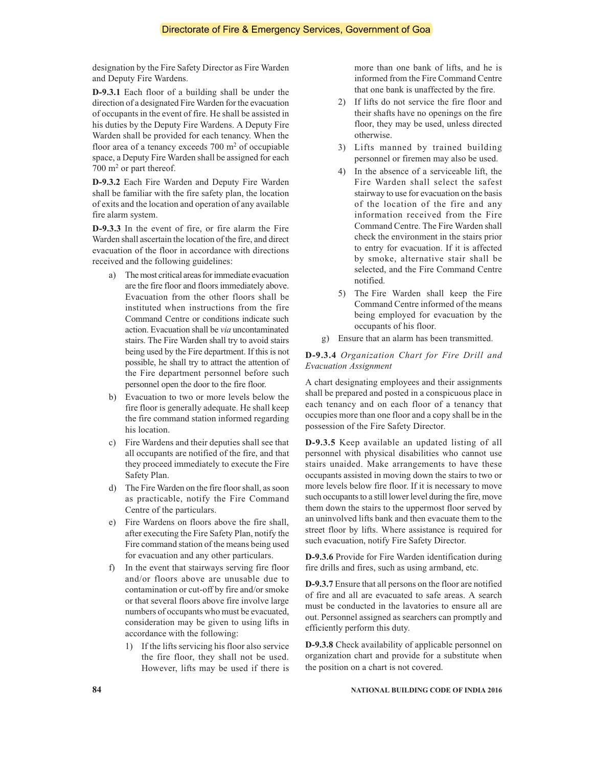# Directorate of Fire & Emergency Services, Government of Goa

designation by the Fire Safety Director as Fire Warden and Deputy Fire Wardens.

D-9.3.1 Each floor of a building shall be under the direction of a designated Fire Warden for the evacuation of occupantsin the event of fire. He shall be assisted in his duties by the Deputy Fire Wardens. A Deputy Fire Warden shall be provided for each tenancy. When the floor area of a tenancy exceeds  $700 \text{ m}^2$  of occupiable space, a Deputy Fire Warden shall be assigned for each  $700 \text{ m}^2$  or part thereof.

D-9.3.2 Each Fire Warden and Deputy Fire Warden shall be familiar with the fire safety plan, the location of exits and the location and operation of any available fire alarm system.

D-9.3.3 In the event of fire, or fire alarm the Fire Warden shall ascertain the location of the fire, and direct evacuation of the floor in accordance with directions received and the following guidelines:

- a) The most critical areas for immediate evacuation are the fire floor and floors immediately above. Evacuation from the other floors shall be instituted when instructions from the fire Command Centre or conditions indicate such action. Evacuation shall be via uncontaminated stairs. The Fire Warden shall try to avoid stairs being used by the Fire department. If this is not possible, he shall try to attract the attention of the Fire department personnel before such personnel open the door to the fire floor.
- b) Evacuation to two or more levels below the fire floor is generally adequate. He shall keep the fire command station informed regarding his location.
- c) Fire Wardens and their deputies shall see that all occupants are notified of the fire, and that they proceed immediately to execute the Fire Safety Plan.
- d) The Fire Warden on the fire floor shall, as soon as practicable, notify the Fire Command Centre of the particulars.
- e) Fire Wardens on floors above the fire shall, after executing the Fire Safety Plan, notify the Fire command station of the means being used for evacuation and any other particulars.
- f) In the event that stairways serving fire floor and/or floors above are unusable due to contamination or cut-off by fire and/orsmoke or that several floors above fire involve large numbers of occupants who must be evacuated, consideration may be given to using lifts in accordance with the following:
	- 1) If the lifts servicing his floor also service the fire floor, they shall not be used. However, lifts may be used if there is

more than one bank of lifts, and he is informed from the Fire Command Centre that one bank is unaffected by the fire.

- 2) If lifts do not service the fire floor and their shafts have no openings on the fire floor, they may be used, unless directed otherwise.
- 3) Lifts manned by trained building personnel or firemen may also be used.
- 4) In the absence of a serviceable lift, the Fire Warden shall select the safest stairway to use for evacuation on the basis of the location of the fire and any information received from the Fire Command Centre. The Fire Warden shall check the environment in the stairs prior to entry for evacuation. If it is affected by smoke, alternative stair shall be selected, and the Fire Command Centre notified.
- 5) The Fire Warden shall keep the Fire Command Centre informed of the means being employed for evacuation by the occupants of his floor.
- g) Ensure that an alarm has been transmitted.

## D-9.3.4 Organization Chart for Fire Drill and Evacuation Assignment

A chart designating employees and their assignments shall be prepared and posted in a conspicuous place in each tenancy and on each floor of a tenancy that occupies more than one floor and a copy shall be in the possession of the Fire Safety Director.

D-9.3.5 Keep available an updated listing of all personnel with physical disabilities who cannot use stairs unaided. Make arrangements to have these occupants assisted in moving down the stairs to two or more levels below fire floor. If it is necessary to move such occupants to a still lower level during the fire, move them down the stairs to the uppermost floor served by an uninvolved lifts bank and then evacuate them to the street floor by lifts. Where assistance is required for such evacuation, notify Fire Safety Director.

D-9.3.6 Provide for Fire Warden identification during fire drills and fires, such as using armband, etc.

D-9.3.7 Ensure that all persons on the floor are notified of fire and all are evacuated to safe areas. A search must be conducted in the lavatories to ensure all are out. Personnel assigned as searchers can promptly and efficiently perform this duty.

D-9.3.8 Check availability of applicable personnel on organization chart and provide for a substitute when the position on a chart is not covered.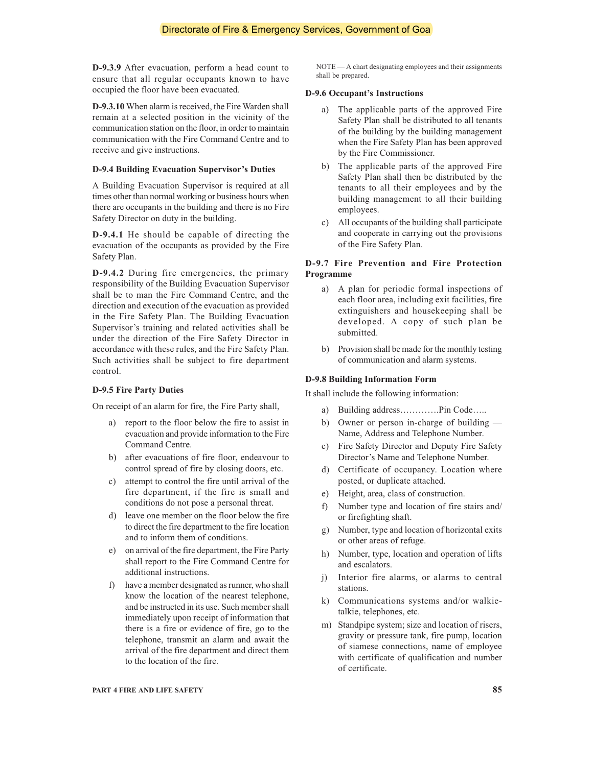D-9.3.9 After evacuation, perform a head count to ensure that all regular occupants known to have occupied the floor have been evacuated.

D-9.3.10 When alarm is received, the Fire Warden shall remain at a selected position in the vicinity of the communication station on the floor, in order to maintain communication with the Fire Command Centre and to receive and give instructions.

## D-9.4 Building Evacuation Supervisor's Duties

A Building Evacuation Supervisor is required at all times other than normal working or business hours when there are occupants in the building and there is no Fire Safety Director on duty in the building.

D-9.4.1 He should be capable of directing the evacuation of the occupants as provided by the Fire Safety Plan.

D-9.4.2 During fire emergencies, the primary responsibility of the Building Evacuation Supervisor shall be to man the Fire Command Centre, and the direction and execution of the evacuation as provided in the Fire Safety Plan. The Building Evacuation Supervisor's training and related activities shall be under the direction of the Fire Safety Director in accordance with these rules, and the Fire Safety Plan. Such activities shall be subject to fire department control.

#### D-9.5 Fire Party Duties

On receipt of an alarm for fire, the Fire Party shall,

- a) report to the floor below the fire to assist in evacuation and provide information to the Fire Command Centre.
- b) after evacuations of fire floor, endeavour to control spread of fire by closing doors, etc.
- c) attempt to control the fire until arrival of the fire department, if the fire is small and conditions do not pose a personal threat.
- d) leave one member on the floor below the fire to direct the fire department to the fire location and to inform them of conditions.
- e) on arrival of the fire department, the Fire Party shall report to the Fire Command Centre for additional instructions.
- f) have a member designated as runner, who shall know the location of the nearest telephone, and be instructed in its use. Such membershall immediately upon receipt of information that there is a fire or evidence of fire, go to the telephone, transmit an alarm and await the arrival of the fire department and direct them to the location of the fire.

NOTE — A chart designating employees and their assignments shall be prepared.

### D-9.6 Occupant's Instructions

- a) The applicable parts of the approved Fire Safety Plan shall be distributed to all tenants of the building by the building management when the Fire Safety Plan has been approved by the Fire Commissioner.
- b) The applicable parts of the approved Fire Safety Plan shall then be distributed by the tenants to all their employees and by the building management to all their building employees.
- c) All occupants of the building shall participate and cooperate in carrying out the provisions of the Fire Safety Plan.

# D-9.7 Fire Prevention and Fire Protection Programme

- a) A plan for periodic formal inspections of each floor area, including exit facilities, fire extinguishers and housekeeping shall be developed. A copy of such plan be submitted.
- b) Provision shall be made for the monthly testing of communication and alarm systems.

## D-9.8 Building Information Form

It shall include the following information:

- a) Building address.............Pin Code.....
- b) Owner or person in-charge of building Name, Address and Telephone Number.
- c) Fire Safety Director and Deputy Fire Safety Director's Name and Telephone Number.
- d) Certificate of occupancy. Location where posted, or duplicate attached.
- e) Height, area, class of construction.
- f) Number type and location of fire stairs and/ or firefighting shaft.
- g) Number, type and location of horizontal exits or other areas of refuge.
- h) Number, type, location and operation of lifts and escalators.
- j) Interior fire alarms, or alarms to central stations.
- k) Communications systems and/or walkietalkie, telephones, etc.
- m) Standpipe system; size and location of risers, gravity or pressure tank, fire pump, location of siamese connections, name of employee with certificate of qualification and number of certificate.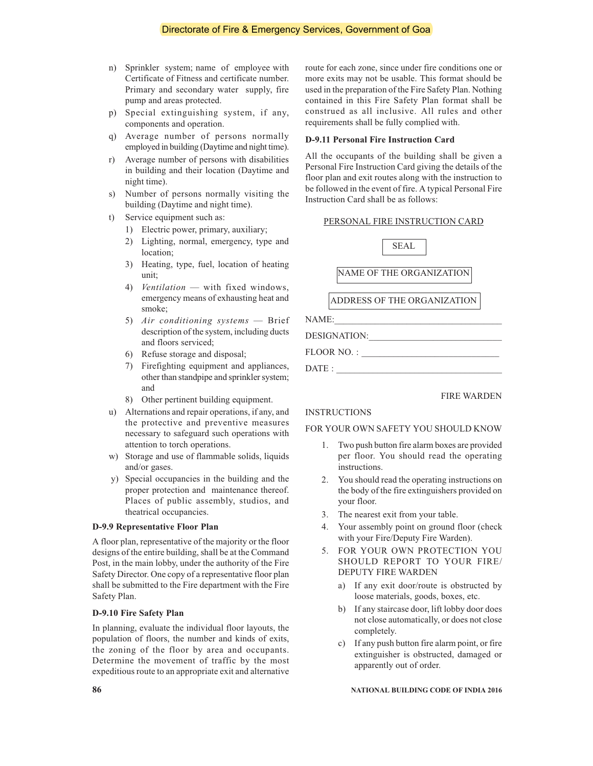- n) Sprinkler system; name of employee with Certificate of Fitness and certificate number. Primary and secondary water supply, fire pump and areas protected.
- p) Special extinguishing system, if any, components and operation.
- q) Average number of persons normally employed in building (Daytime and night time).
- r) Average number of persons with disabilities in building and their location (Daytime and night time).
- s) Number of persons normally visiting the building (Daytime and night time).
- t) Service equipment such as:
	- 1) Electric power, primary, auxiliary;
	- 2) Lighting, normal, emergency, type and location;
	- 3) Heating, type, fuel, location of heating unit;
	- 4) Ventilation  $-$  with fixed windows, emergency means of exhausting heat and smoke;
	- 5) Air conditioning systems  $-$  Brief description of the system, including ducts and floors serviced;
	- 6) Refuse storage and disposal;
	- 7) Firefighting equipment and appliances, other than standpipe and sprinkler system; and
	- 8) Other pertinent building equipment.
- u) Alternations and repair operations, if any, and the protective and preventive measures necessary to safeguard such operations with attention to torch operations.
- w) Storage and use of flammable solids, liquids and/or gases.
- y) Special occupancies in the building and the proper protection and maintenance thereof. Places of public assembly, studios, and theatrical occupancies.

#### D-9.9 Representative Floor Plan

A floor plan, representative of the majority or the floor designs of the entire building, shall be at the Command Post, in the main lobby, under the authority of the Fire Safety Director. One copy of a representative floor plan shall be submitted to the Fire department with the Fire Safety Plan.

#### D-9.10 Fire Safety Plan

In planning, evaluate the individual floor layouts, the population of floors, the number and kinds of exits, the zoning of the floor by area and occupants. Determine the movement of traffic by the most expeditious route to an appropriate exit and alternative route for each zone, since under fire conditions one or more exits may not be usable. This format should be used in the preparation of the Fire Safety Plan. Nothing contained in this Fire Safety Plan format shall be construed as all inclusive. All rules and other requirements shall be fully complied with.

#### D-9.11 Personal Fire Instruction Card

All the occupants of the building shall be given a Personal Fire Instruction Card giving the details of the floor plan and exit routes along with the instruction to be followed in the event of fire. A typical Personal Fire Instruction Card shall be as follows:

## PERSONAL FIRE INSTRUCTION CARD

| <b>SEAL</b>                 |
|-----------------------------|
| NAME OF THE ORGANIZATION    |
| ADDRESS OF THE ORGANIZATION |
| NAME:                       |
| <b>DESIGNATION:</b>         |
| FLOOR NO. :                 |
| $\mathsf{DATE}$ :           |

#### FIRE WARDEN

# **INSTRUCTIONS**

#### FOR YOUR OWN SAFETY YOU SHOULD KNOW

- 1. Two push button fire alarm boxes are provided per floor. You should read the operating instructions.
- 2. You should read the operating instructions on the body of the fire extinguishers provided on your floor.
- 3. The nearest exit from your table.
- 4. Your assembly point on ground floor (check with your Fire/Deputy Fire Warden).
- 5. FOR YOUR OWN PROTECTION YOU SHOULD REPORT TO YOUR FIRE/ DEPUTY FIRE WARDEN
	- a) If any exit door/route is obstructed by loose materials, goods, boxes, etc.
	- b) If any staircase door, lift lobby door does not close automatically, or does not close completely.
	- c) If any push button fire alarm point, or fire extinguisher is obstructed, damaged or apparently out of order.

86 NATIONAL BUILDING CODE OF INDIA 2016